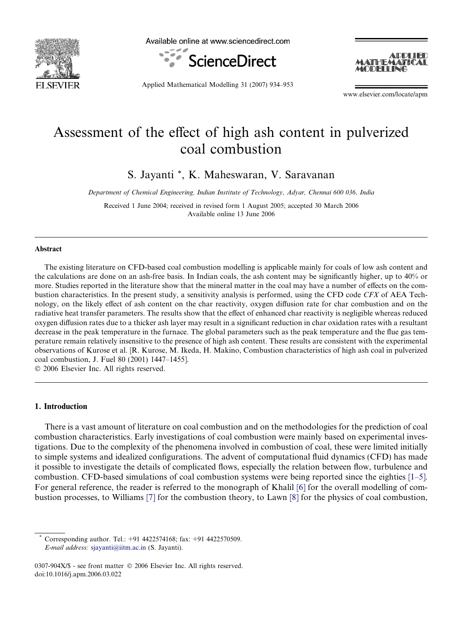

Available online at www.sciencedirect.com





Applied Mathematical Modelling 31 (2007) 934–953

www.elsevier.com/locate/apm

# Assessment of the effect of high ash content in pulverized coal combustion

S. Jayanti \*, K. Maheswaran, V. Saravanan

Department of Chemical Engineering, Indian Institute of Technology, Adyar, Chennai 600 036, India

Received 1 June 2004; received in revised form 1 August 2005; accepted 30 March 2006 Available online 13 June 2006

# Abstract

The existing literature on CFD-based coal combustion modelling is applicable mainly for coals of low ash content and the calculations are done on an ash-free basis. In Indian coals, the ash content may be significantly higher, up to 40% or more. Studies reported in the literature show that the mineral matter in the coal may have a number of effects on the combustion characteristics. In the present study, a sensitivity analysis is performed, using the CFD code CFX of AEA Technology, on the likely effect of ash content on the char reactivity, oxygen diffusion rate for char combustion and on the radiative heat transfer parameters. The results show that the effect of enhanced char reactivity is negligible whereas reduced oxygen diffusion rates due to a thicker ash layer may result in a significant reduction in char oxidation rates with a resultant decrease in the peak temperature in the furnace. The global parameters such as the peak temperature and the flue gas temperature remain relatively insensitive to the presence of high ash content. These results are consistent with the experimental observations of Kurose et al. [R. Kurose, M. Ikeda, H. Makino, Combustion characteristics of high ash coal in pulverized coal combustion, J. Fuel 80 (2001) 1447–1455].

© 2006 Elsevier Inc. All rights reserved.

# 1. Introduction

There is a vast amount of literature on coal combustion and on the methodologies for the prediction of coal combustion characteristics. Early investigations of coal combustion were mainly based on experimental investigations. Due to the complexity of the phenomena involved in combustion of coal, these were limited initially to simple systems and idealized configurations. The advent of computational fluid dynamics (CFD) has made it possible to investigate the details of complicated flows, especially the relation between flow, turbulence and combustion. CFD-based simulations of coal combustion systems were being reported since the eighties [\[1–5\].](#page-18-0) For general reference, the reader is referred to the monograph of Khalil [\[6\]](#page-18-0) for the overall modelling of combustion processes, to Williams [\[7\]](#page-18-0) for the combustion theory, to Lawn [\[8\]](#page-18-0) for the physics of coal combustion,

Corresponding author. Tel.: +91 4422574168; fax: +91 4422570509. E-mail address: [sjayanti@iitm.ac.in](mailto:sjayanti@iitm.ac.in) (S. Jayanti).

<sup>0307-904</sup>X/\$ - see front matter © 2006 Elsevier Inc. All rights reserved. doi:10.1016/j.apm.2006.03.022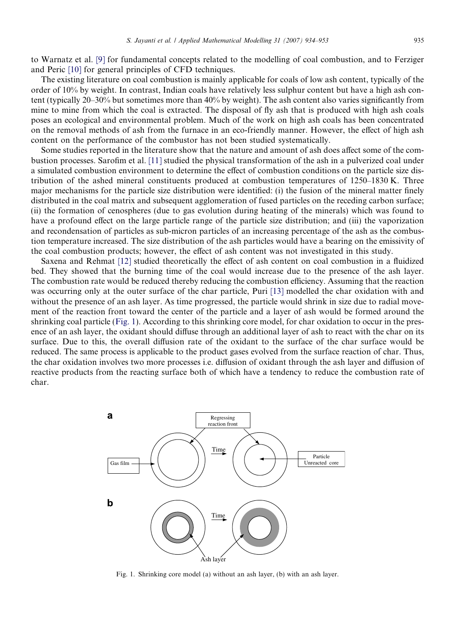to Warnatz et al. [\[9\]](#page-18-0) for fundamental concepts related to the modelling of coal combustion, and to Ferziger and Peric [\[10\]](#page-18-0) for general principles of CFD techniques.

The existing literature on coal combustion is mainly applicable for coals of low ash content, typically of the order of 10% by weight. In contrast, Indian coals have relatively less sulphur content but have a high ash content (typically 20–30% but sometimes more than 40% by weight). The ash content also varies significantly from mine to mine from which the coal is extracted. The disposal of fly ash that is produced with high ash coals poses an ecological and environmental problem. Much of the work on high ash coals has been concentrated on the removal methods of ash from the furnace in an eco-friendly manner. However, the effect of high ash content on the performance of the combustor has not been studied systematically.

Some studies reported in the literature show that the nature and amount of ash does affect some of the combustion processes. Sarofim et al. [\[11\]](#page-18-0) studied the physical transformation of the ash in a pulverized coal under a simulated combustion environment to determine the effect of combustion conditions on the particle size distribution of the ashed mineral constituents produced at combustion temperatures of 1250–1830 K. Three major mechanisms for the particle size distribution were identified: (i) the fusion of the mineral matter finely distributed in the coal matrix and subsequent agglomeration of fused particles on the receding carbon surface; (ii) the formation of cenospheres (due to gas evolution during heating of the minerals) which was found to have a profound effect on the large particle range of the particle size distribution; and (iii) the vaporization and recondensation of particles as sub-micron particles of an increasing percentage of the ash as the combustion temperature increased. The size distribution of the ash particles would have a bearing on the emissivity of the coal combustion products; however, the effect of ash content was not investigated in this study.

Saxena and Rehmat [\[12\]](#page-18-0) studied theoretically the effect of ash content on coal combustion in a fluidized bed. They showed that the burning time of the coal would increase due to the presence of the ash layer. The combustion rate would be reduced thereby reducing the combustion efficiency. Assuming that the reaction was occurring only at the outer surface of the char particle, Puri [\[13\]](#page-18-0) modelled the char oxidation with and without the presence of an ash layer. As time progressed, the particle would shrink in size due to radial movement of the reaction front toward the center of the particle and a layer of ash would be formed around the shrinking coal particle (Fig. 1). According to this shrinking core model, for char oxidation to occur in the presence of an ash layer, the oxidant should diffuse through an additional layer of ash to react with the char on its surface. Due to this, the overall diffusion rate of the oxidant to the surface of the char surface would be reduced. The same process is applicable to the product gases evolved from the surface reaction of char. Thus, the char oxidation involves two more processes i.e. diffusion of oxidant through the ash layer and diffusion of reactive products from the reacting surface both of which have a tendency to reduce the combustion rate of char.



Fig. 1. Shrinking core model (a) without an ash layer, (b) with an ash layer.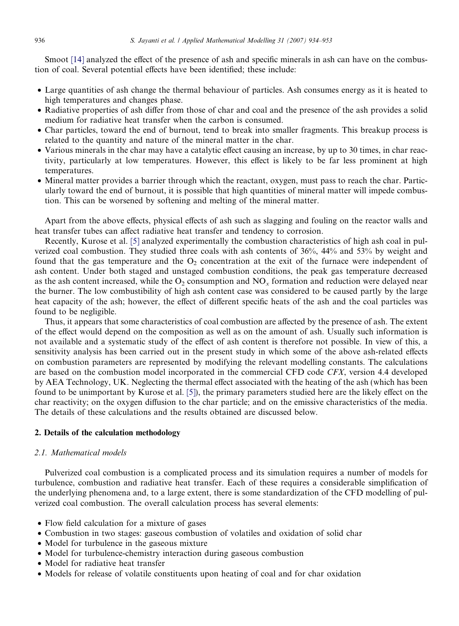Smoot [\[14\]](#page-18-0) analyzed the effect of the presence of ash and specific minerals in ash can have on the combustion of coal. Several potential effects have been identified; these include:

- Large quantities of ash change the thermal behaviour of particles. Ash consumes energy as it is heated to high temperatures and changes phase.
- Radiative properties of ash differ from those of char and coal and the presence of the ash provides a solid medium for radiative heat transfer when the carbon is consumed.
- Char particles, toward the end of burnout, tend to break into smaller fragments. This breakup process is related to the quantity and nature of the mineral matter in the char.
- Various minerals in the char may have a catalytic effect causing an increase, by up to 30 times, in char reactivity, particularly at low temperatures. However, this effect is likely to be far less prominent at high temperatures.
- Mineral matter provides a barrier through which the reactant, oxygen, must pass to reach the char. Particularly toward the end of burnout, it is possible that high quantities of mineral matter will impede combustion. This can be worsened by softening and melting of the mineral matter.

Apart from the above effects, physical effects of ash such as slagging and fouling on the reactor walls and heat transfer tubes can affect radiative heat transfer and tendency to corrosion.

Recently, Kurose et al. [\[5\]](#page-18-0) analyzed experimentally the combustion characteristics of high ash coal in pulverized coal combustion. They studied three coals with ash contents of 36%, 44% and 53% by weight and found that the gas temperature and the  $O_2$  concentration at the exit of the furnace were independent of ash content. Under both staged and unstaged combustion conditions, the peak gas temperature decreased as the ash content increased, while the  $O_2$  consumption and  $NO_x$  formation and reduction were delayed near the burner. The low combustibility of high ash content case was considered to be caused partly by the large heat capacity of the ash; however, the effect of different specific heats of the ash and the coal particles was found to be negligible.

Thus, it appears that some characteristics of coal combustion are affected by the presence of ash. The extent of the effect would depend on the composition as well as on the amount of ash. Usually such information is not available and a systematic study of the effect of ash content is therefore not possible. In view of this, a sensitivity analysis has been carried out in the present study in which some of the above ash-related effects on combustion parameters are represented by modifying the relevant modelling constants. The calculations are based on the combustion model incorporated in the commercial CFD code CFX, version 4.4 developed by AEA Technology, UK. Neglecting the thermal effect associated with the heating of the ash (which has been found to be unimportant by Kurose et al. [\[5\]\)](#page-18-0), the primary parameters studied here are the likely effect on the char reactivity; on the oxygen diffusion to the char particle; and on the emissive characteristics of the media. The details of these calculations and the results obtained are discussed below.

# 2. Details of the calculation methodology

## 2.1. Mathematical models

Pulverized coal combustion is a complicated process and its simulation requires a number of models for turbulence, combustion and radiative heat transfer. Each of these requires a considerable simplification of the underlying phenomena and, to a large extent, there is some standardization of the CFD modelling of pulverized coal combustion. The overall calculation process has several elements:

- Flow field calculation for a mixture of gases
- Combustion in two stages: gaseous combustion of volatiles and oxidation of solid char
- Model for turbulence in the gaseous mixture
- Model for turbulence-chemistry interaction during gaseous combustion
- Model for radiative heat transfer
- Models for release of volatile constituents upon heating of coal and for char oxidation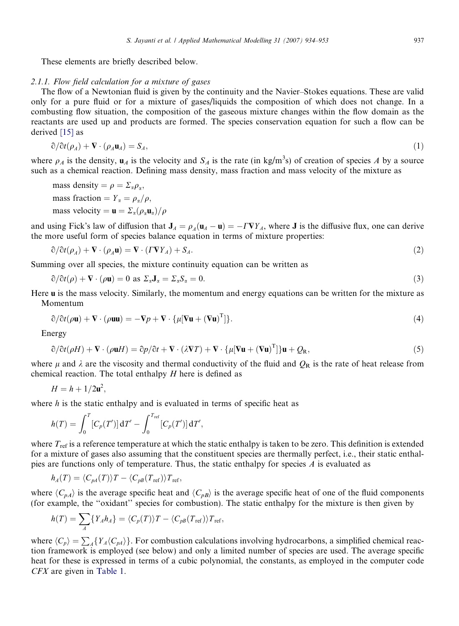<span id="page-3-0"></span>These elements are briefly described below.

## 2.1.1. Flow field calculation for a mixture of gases

The flow of a Newtonian fluid is given by the continuity and the Navier–Stokes equations. These are valid only for a pure fluid or for a mixture of gases/liquids the composition of which does not change. In a combusting flow situation, the composition of the gaseous mixture changes within the flow domain as the reactants are used up and products are formed. The species conservation equation for such a flow can be derived [\[15\]](#page-18-0) as

$$
\partial/\partial t(\rho_A) + \nabla \cdot (\rho_A \mathbf{u}_A) = S_A,\tag{1}
$$

where  $\rho_A$  is the density,  $\mathbf{u}_A$  is the velocity and  $S_A$  is the rate (in kg/m<sup>3</sup>s) of creation of species A by a source such as a chemical reaction. Defining mass density, mass fraction and mass velocity of the mixture as

mass density  $= \rho = \Sigma_{\alpha} \rho_{\alpha}$ ; mass fraction  $=Y_{\alpha}=\rho_{\alpha}/\rho$ , mass velocity =  $\mathbf{u} = \sum_{\alpha} (\rho_{\alpha} \mathbf{u}_{\alpha})/\rho$ 

and using Fick's law of diffusion that  $J_A = \rho_A(\mathbf{u}_A - \mathbf{u}) = -\Gamma \nabla Y_A$ , where J is the diffusive flux, one can derive the more useful form of species balance equation in terms of mixture properties:

$$
\partial/\partial t(\rho_A) + \nabla \cdot (\rho_A \mathbf{u}) = \nabla \cdot (\Gamma \nabla Y_A) + S_A. \tag{2}
$$

Summing over all species, the mixture continuity equation can be written as

$$
\partial/\partial t(\rho) + \nabla \cdot (\rho \mathbf{u}) = 0 \text{ as } \Sigma_x \mathbf{J}_x = \Sigma_x S_x = 0. \tag{3}
$$

Here u is the mass velocity. Similarly, the momentum and energy equations can be written for the mixture as Momentum

$$
\partial/\partial t(\rho \mathbf{u}) + \nabla \cdot (\rho \mathbf{u} \mathbf{u}) = -\nabla p + \nabla \cdot \{\mu [\nabla \mathbf{u} + (\nabla \mathbf{u})^T]\}.
$$
\n(4)

Energy

$$
\partial/\partial t(\rho H) + \nabla \cdot (\rho \mathbf{u}H) = \partial p/\partial t + \nabla \cdot (\lambda \nabla T) + \nabla \cdot \{\mu [\nabla \mathbf{u} + (\nabla \mathbf{u})^{\mathrm{T}}] \} \mathbf{u} + \mathcal{Q}_{\mathrm{R}},
$$
\n(5)

where  $\mu$  and  $\lambda$  are the viscosity and thermal conductivity of the fluid and  $Q_R$  is the rate of heat release from chemical reaction. The total enthalpy  $H$  here is defined as

$$
H=h+1/2\mathbf{u}^2,
$$

where  $h$  is the static enthalpy and is evaluated in terms of specific heat as

$$
h(T) = \int_0^T [C_p(T')] \, \mathrm{d} T' - \int_0^{T_{\rm ref}} [C_p(T')] \, \mathrm{d} T',
$$

where  $T_{\text{ref}}$  is a reference temperature at which the static enthalpy is taken to be zero. This definition is extended for a mixture of gases also assuming that the constituent species are thermally perfect, i.e., their static enthalpies are functions only of temperature. Thus, the static enthalpy for species A is evaluated as

$$
h_A(T) = \langle C_{pA}(T) \rangle T - \langle C_{pB}(T_{\text{ref}}) \rangle T_{\text{ref}},
$$

where  $\langle C_{pA} \rangle$  is the average specific heat and  $\langle C_{pB} \rangle$  is the average specific heat of one of the fluid components (for example, the ''oxidant'' species for combustion). The static enthalpy for the mixture is then given by

$$
h(T) = \sum_{A} \{ Y_A h_A \} = \langle C_p(T) \rangle T - \langle C_{pB}(T_{\text{ref}}) \rangle T_{\text{ref}},
$$

where  $\langle C_p \rangle = \sum_A \{Y_A \langle C_{pA} \rangle\}$ . For combustion calculations involving hydrocarbons, a simplified chemical reaction framework is employed (see below) and only a limited number of species are used. The average specific heat for these is expressed in terms of a cubic polynomial, the constants, as employed in the computer code CFX are given in [Table 1](#page-4-0).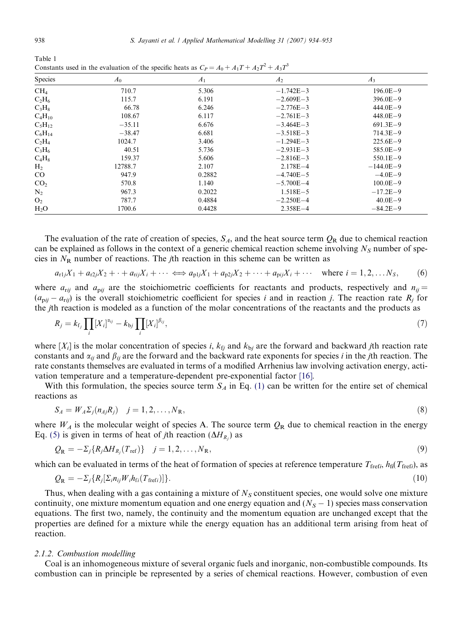|  | S. Jayantı |
|--|------------|
|  |            |

| <b>Species</b>  | A <sub>0</sub> | $A_1$  | A <sub>2</sub> | $A_3$        |
|-----------------|----------------|--------|----------------|--------------|
| CH <sub>4</sub> | 710.7          | 5.306  | $-1.742E - 3$  | $196.0E - 9$ |
| $C_2H_6$        | 115.7          | 6.191  | $-2.609E - 3$  | $396.0E - 9$ |
| $C_3H_8$        | 66.78          | 6.246  | $-2.776E - 3$  | $444.0E - 9$ |
| $C_4H_{10}$     | 108.67         | 6.117  | $-2.761E-3$    | $448.0E - 9$ |
| $C_5H_{12}$     | $-35.11$       | 6.676  | $-3.464E - 3$  | $691.3E - 9$ |
| $C_6H_{14}$     | $-38.47$       | 6.681  | $-3.518E - 3$  | $714.3E - 9$ |
| $C_2H_4$        | 1024.7         | 3.406  | $-1.294E - 3$  | $225.6E - 9$ |
| $C_3H_6$        | 40.51          | 5.736  | $-2.931E-3$    | 585.0E-9     |
| $C_4H_8$        | 159.37         | 5.606  | $-2.816E - 3$  | $550.1E - 9$ |
| H <sub>2</sub>  | 12788.7        | 2.107  | $2.178E - 4$   | $-144.0E-9$  |
| $\rm CO$        | 947.9          | 0.2882 | $-4.740E - 5$  | $-4.0E-9$    |
| CO <sub>2</sub> | 570.8          | 1.140  | $-5.700E - 4$  | $100.0E - 9$ |
| $N_2$           | 967.3          | 0.2022 | $1.518E - 5$   | $-17.2E-9$   |
| O <sub>2</sub>  | 787.7          | 0.4884 | $-2.250E - 4$  | $40.0E - 9$  |
| $H_2O$          | 1700.6         | 0.4428 | $2.358E - 4$   | $-84.2E-9$   |

Constants used in the evaluation of the specific heats as  $C_P = A_0 + A_1T + A_2T^2 + A_3T^3$ 

The evaluation of the rate of creation of species,  $S_A$ , and the heat source term  $Q_R$  due to chemical reaction can be explained as follows in the context of a generic chemical reaction scheme involving  $N<sub>S</sub>$  number of species in  $N_R$  number of reactions. The *j*th reaction in this scheme can be written as

$$
a_{r1j}X_1 + a_{r2j}X_2 + \cdots + a_{rij}X_i + \cdots \iff a_{p1j}X_1 + a_{p2j}X_2 + \cdots + a_{pij}X_i + \cdots \quad \text{where } i = 1, 2, \ldots N_S,
$$
 (6)

where  $a_{\text{rij}}$  and  $a_{\text{pi}}$  are the stoichiometric coefficients for reactants and products, respectively and  $n_{ij}$  $(a_{\text{pi}} - a_{\text{right}})$  is the overall stoichiometric coefficient for species i and in reaction j. The reaction rate  $R_i$  for the jth reaction is modeled as a function of the molar concentrations of the reactants and the products as

$$
R_j = k_{f_j} \prod_i [X_i]^{\alpha_{ij}} - k_{bj} \prod_i [X_i]^{\beta_{ij}}, \tag{7}
$$

where  $[X_i]$  is the molar concentration of species i,  $k_{fj}$  and  $k_{bj}$  are the forward and backward jth reaction rate constants and  $\alpha_{ij}$  and  $\beta_{ij}$  are the forward and the backward rate exponents for species i in the jth reaction. The rate constants themselves are evaluated in terms of a modified Arrhenius law involving activation energy, activation temperature and a temperature-dependent pre-exponential factor [\[16\]](#page-18-0).

With this formulation, the species source term  $S_A$  in Eq. [\(1\)](#page-3-0) can be written for the entire set of chemical reactions as

$$
S_A = W_A \Sigma_j (n_{A,j} R_j) \quad j = 1, 2, \dots, N_R,
$$
\n
$$
(8)
$$

where  $W_A$  is the molecular weight of species A. The source term  $Q_R$  due to chemical reaction in the energy Eq. [\(5\)](#page-3-0) is given in terms of heat of *j*th reaction ( $\Delta H_{R_i}$ ) as

$$
Q_{\mathbf{R}} = -\Sigma_j \{ R_j \Delta H_{R_j}(T_{\text{ref}}) \} \quad j = 1, 2, \dots, N_{\mathbf{R}},
$$
\n
$$
(9)
$$

which can be evaluated in terms of the heat of formation of species at reference temperature  $T_{\text{frefi}}, h_{\text{fi}}(T_{\text{frefi}})$ , as

$$
Q_{\rm R} = -\Sigma_j \{ R_j [\Sigma_i n_{ij} W_i h_{\rm ft}(T_{\rm frefi})] \}.
$$
\n(10)

Thus, when dealing with a gas containing a mixture of  $N<sub>S</sub>$  constituent species, one would solve one mixture continuity, one mixture momentum equation and one energy equation and  $(N<sub>S</sub> - 1)$  species mass conservation equations. The first two, namely, the continuity and the momentum equation are unchanged except that the properties are defined for a mixture while the energy equation has an additional term arising from heat of reaction.

#### 2.1.2. Combustion modelling

Coal is an inhomogeneous mixture of several organic fuels and inorganic, non-combustible compounds. Its combustion can in principle be represented by a series of chemical reactions. However, combustion of even

<span id="page-4-0"></span>Table 1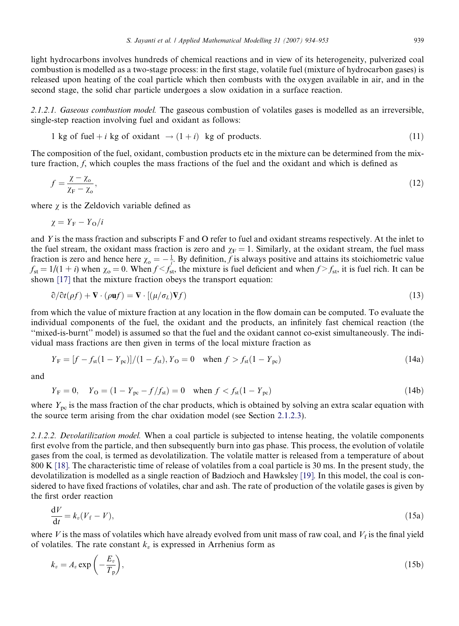<span id="page-5-0"></span>light hydrocarbons involves hundreds of chemical reactions and in view of its heterogeneity, pulverized coal combustion is modelled as a two-stage process: in the first stage, volatile fuel (mixture of hydrocarbon gases) is released upon heating of the coal particle which then combusts with the oxygen available in air, and in the second stage, the solid char particle undergoes a slow oxidation in a surface reaction.

2.1.2.1. Gaseous combustion model. The gaseous combustion of volatiles gases is modelled as an irreversible, single-step reaction involving fuel and oxidant as follows:

$$
1 \text{ kg of fuel} + i \text{ kg of oxidation} \rightarrow (1+i) \text{ kg of products.} \tag{11}
$$

The composition of the fuel, oxidant, combustion products etc in the mixture can be determined from the mixture fraction, f, which couples the mass fractions of the fuel and the oxidant and which is defined as

$$
f = \frac{\chi - \chi_o}{\chi_F - \chi_o},\tag{12}
$$

where  $\chi$  is the Zeldovich variable defined as

$$
\chi = Y_{\rm F} - Y_{\rm O}/i
$$

and Y is the mass fraction and subscripts F and O refer to fuel and oxidant streams respectively. At the inlet to the fuel stream, the oxidant mass fraction is zero and  $\chi_F = 1$ . Similarly, at the oxidant stream, the fuel mass fraction is zero and hence here  $\chi_0 = -\frac{1}{i}$ . By definition, f is always positive and attains its stoichiometric value  $f_{st} = 1/(1 + i)$  when  $\chi_{0} = 0$ . When  $f \le f_{st}$ , the mixture is fuel deficient and when  $f \ge f_{st}$ , it is fuel rich. It can be shown [\[17\]](#page-19-0) that the mixture fraction obeys the transport equation:

$$
\partial/\partial t(\rho f) + \nabla \cdot (\rho \mathbf{u}f) = \nabla \cdot [(\mu/\sigma_L)\nabla f] \tag{13}
$$

from which the value of mixture fraction at any location in the flow domain can be computed. To evaluate the individual components of the fuel, the oxidant and the products, an infinitely fast chemical reaction (the ''mixed-is-burnt'' model) is assumed so that the fuel and the oxidant cannot co-exist simultaneously. The individual mass fractions are then given in terms of the local mixture fraction as

$$
Y_{\rm F} = [f - f_{\rm st}(1 - Y_{\rm pc})]/(1 - f_{\rm st}), Y_{\rm O} = 0 \quad \text{when } f > f_{\rm st}(1 - Y_{\rm pc})
$$
\n(14a)

and

$$
Y_{\rm F} = 0, \quad Y_{\rm O} = (1 - Y_{\rm pc} - f/f_{\rm st}) = 0 \quad \text{when } f < f_{\rm st} (1 - Y_{\rm pc}) \tag{14b}
$$

where  $Y_{\text{pc}}$  is the mass fraction of the char products, which is obtained by solving an extra scalar equation with the source term arising from the char oxidation model (see Section [2.1.2.3\)](#page-6-0).

2.1.2.2. Devolatilization model. When a coal particle is subjected to intense heating, the volatile components first evolve from the particle, and then subsequently burn into gas phase. This process, the evolution of volatile gases from the coal, is termed as devolatilization. The volatile matter is released from a temperature of about 800 K [\[18\]](#page-19-0). The characteristic time of release of volatiles from a coal particle is 30 ms. In the present study, the devolatilization is modelled as a single reaction of Badzioch and Hawksley [\[19\].](#page-19-0) In this model, the coal is considered to have fixed fractions of volatiles, char and ash. The rate of production of the volatile gases is given by the first order reaction

$$
\frac{\mathrm{d}V}{\mathrm{d}t} = k_v (V_f - V), \tag{15a}
$$

where V is the mass of volatiles which have already evolved from unit mass of raw coal, and  $V_f$  is the final yield of volatiles. The rate constant  $k<sub>v</sub>$  is expressed in Arrhenius form as

$$
k_v = A_v \exp\left(-\frac{E_v}{T_p}\right),\tag{15b}
$$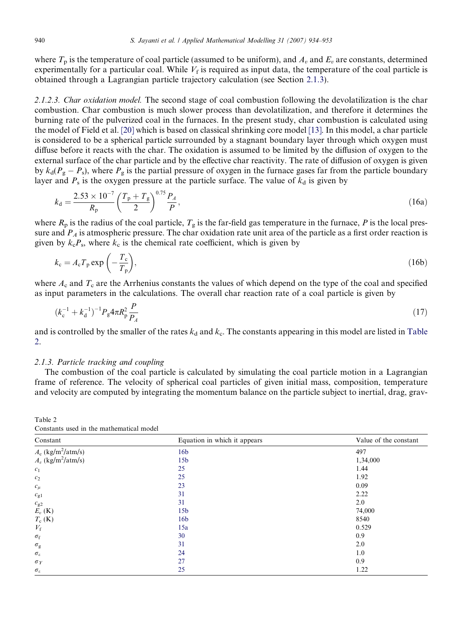<span id="page-6-0"></span>where  $T_p$  is the temperature of coal particle (assumed to be uniform), and  $A_v$  and  $E_v$  are constants, determined experimentally for a particular coal. While  $V_f$  is required as input data, the temperature of the coal particle is obtained through a Lagrangian particle trajectory calculation (see Section 2.1.3).

2.1.2.3. Char oxidation model. The second stage of coal combustion following the devolatilization is the char combustion. Char combustion is much slower process than devolatilization, and therefore it determines the burning rate of the pulverized coal in the furnaces. In the present study, char combustion is calculated using the model of Field et al. [\[20\]](#page-19-0) which is based on classical shrinking core model [\[13\]](#page-18-0). In this model, a char particle is considered to be a spherical particle surrounded by a stagnant boundary layer through which oxygen must diffuse before it reacts with the char. The oxidation is assumed to be limited by the diffusion of oxygen to the external surface of the char particle and by the effective char reactivity. The rate of diffusion of oxygen is given by  $k_d(P_g - P_s)$ , where  $P_g$  is the partial pressure of oxygen in the furnace gases far from the particle boundary layer and  $P_s$  is the oxygen pressure at the particle surface. The value of  $k_d$  is given by

$$
k_{\rm d} = \frac{2.53 \times 10^{-7}}{R_{\rm p}} \left(\frac{T_{\rm p} + T_{\rm g}}{2}\right)^{0.75} \frac{P_A}{P},\tag{16a}
$$

where  $R_p$  is the radius of the coal particle,  $T_g$  is the far-field gas temperature in the furnace, P is the local pressure and  $P_A$  is atmospheric pressure. The char oxidation rate unit area of the particle as a first order reaction is given by  $k_c P_s$ , where  $k_c$  is the chemical rate coefficient, which is given by

$$
k_{\rm c} = A_{\rm c} T_{\rm p} \exp\left(-\frac{T_{\rm c}}{T_{\rm p}}\right),\tag{16b}
$$

where  $A_c$  and  $T_c$  are the Arrhenius constants the values of which depend on the type of the coal and specified as input parameters in the calculations. The overall char reaction rate of a coal particle is given by

$$
(k_{\rm c}^{-1} + k_{\rm d}^{-1})^{-1} P_{\rm g} 4\pi R_{\rm p}^2 \frac{P}{P_A} \tag{17}
$$

and is controlled by the smaller of the rates  $k_d$  and  $k_c$ . The constants appearing in this model are listed in Table 2.

#### 2.1.3. Particle tracking and coupling

The combustion of the coal particle is calculated by simulating the coal particle motion in a Lagrangian frame of reference. The velocity of spherical coal particles of given initial mass, composition, temperature and velocity are computed by integrating the momentum balance on the particle subject to inertial, drag, grav-

Table 2 Constants used in the mathematical model

| Constant                         | Equation in which it appears | Value of the constant |  |
|----------------------------------|------------------------------|-----------------------|--|
| $A_c$ (kg/m <sup>2</sup> /atm/s) | 16 <sub>b</sub>              | 497                   |  |
| $A_v$ (kg/m <sup>2</sup> /atm/s) | 15 <sub>b</sub>              | 1,34,000              |  |
| $c_1$                            | 25                           | 1.44                  |  |
| $c_2$                            | 25                           | 1.92                  |  |
| $c_{\mu}$                        | 23                           | 0.09                  |  |
| $c_{\rm g1}$                     | 31                           | 2.22                  |  |
| $c_{\rm g2}$                     | 31                           | 2.0                   |  |
| $E_v$ (K)                        | 15 <sub>b</sub>              | 74,000                |  |
| $T_c$ (K)                        | 16 <sub>b</sub>              | 8540                  |  |
| $V_{\rm f}$                      | 15a                          | 0.529                 |  |
| $\sigma_{\rm f}$                 | 30                           | 0.9                   |  |
| $\sigma_{\rm g}$                 | 31                           | 2.0                   |  |
| $\sigma_{\varepsilon}$           | 24                           | 1.0                   |  |
| $\sigma_Y$                       | 27                           | 0.9                   |  |
| $\sigma_{\varepsilon}$           | 25                           | 1.22                  |  |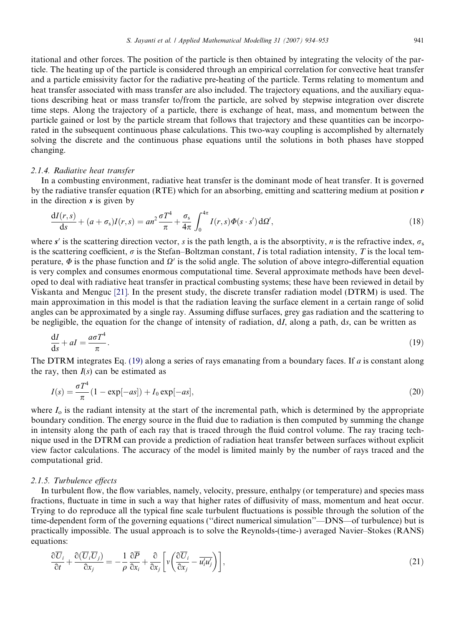<span id="page-7-0"></span>itational and other forces. The position of the particle is then obtained by integrating the velocity of the particle. The heating up of the particle is considered through an empirical correlation for convective heat transfer and a particle emissivity factor for the radiative pre-heating of the particle. Terms relating to momentum and heat transfer associated with mass transfer are also included. The trajectory equations, and the auxiliary equations describing heat or mass transfer to/from the particle, are solved by stepwise integration over discrete time steps. Along the trajectory of a particle, there is exchange of heat, mass, and momentum between the particle gained or lost by the particle stream that follows that trajectory and these quantities can be incorporated in the subsequent continuous phase calculations. This two-way coupling is accomplished by alternately solving the discrete and the continuous phase equations until the solutions in both phases have stopped changing.

## 2.1.4. Radiative heat transfer

In a combusting environment, radiative heat transfer is the dominant mode of heat transfer. It is governed by the radiative transfer equation (RTE) which for an absorbing, emitting and scattering medium at position r in the direction  $s$  is given by

$$
\frac{dI(r,s)}{ds} + (a+\sigma_s)I(r,s) = an^2\frac{\sigma T^4}{\pi} + \frac{\sigma_s}{4\pi} \int_0^{4\pi} I(r,s)\Phi(s\cdot s') d\Omega',\tag{18}
$$

where s' is the scattering direction vector, s is the path length, a is the absorptivity, n is the refractive index,  $\sigma_s$ is the scattering coefficient,  $\sigma$  is the Stefan–Boltzman constant, I is total radiation intensity, T is the local temperature,  $\Phi$  is the phase function and  $\Omega'$  is the solid angle. The solution of above integro-differential equation is very complex and consumes enormous computational time. Several approximate methods have been developed to deal with radiative heat transfer in practical combusting systems; these have been reviewed in detail by Viskanta and Menguc [\[21\].](#page-19-0) In the present study, the discrete transfer radiation model (DTRM) is used. The main approximation in this model is that the radiation leaving the surface element in a certain range of solid angles can be approximated by a single ray. Assuming diffuse surfaces, grey gas radiation and the scattering to be negligible, the equation for the change of intensity of radiation, dI, along a path, ds, can be written as

$$
\frac{\mathrm{d}I}{\mathrm{d}s} + aI = \frac{a\sigma T^4}{\pi}.\tag{19}
$$

The DTRM integrates Eq. (19) along a series of rays emanating from a boundary faces. If a is constant along the ray, then  $I(s)$  can be estimated as

$$
I(s) = \frac{\sigma T^4}{\pi} (1 - \exp[-as]) + I_0 \exp[-as],
$$
\n(20)

where  $I_0$  is the radiant intensity at the start of the incremental path, which is determined by the appropriate boundary condition. The energy source in the fluid due to radiation is then computed by summing the change in intensity along the path of each ray that is traced through the fluid control volume. The ray tracing technique used in the DTRM can provide a prediction of radiation heat transfer between surfaces without explicit view factor calculations. The accuracy of the model is limited mainly by the number of rays traced and the computational grid.

# 2.1.5. Turbulence effects

In turbulent flow, the flow variables, namely, velocity, pressure, enthalpy (or temperature) and species mass fractions, fluctuate in time in such a way that higher rates of diffusivity of mass, momentum and heat occur. Trying to do reproduce all the typical fine scale turbulent fluctuations is possible through the solution of the time-dependent form of the governing equations (''direct numerical simulation''—DNS—of turbulence) but is practically impossible. The usual approach is to solve the Reynolds-(time-) averaged Navier–Stokes (RANS) equations:

$$
\frac{\partial \overline{U}_i}{\partial t} + \frac{\partial (\overline{U}_i \overline{U}_j)}{\partial x_j} = -\frac{1}{\rho} \frac{\partial \overline{P}}{\partial x_i} + \frac{\partial}{\partial x_j} \left[ v \left( \frac{\partial \overline{U}_i}{\partial x_j} - \overline{u'_i u'_j} \right) \right],\tag{21}
$$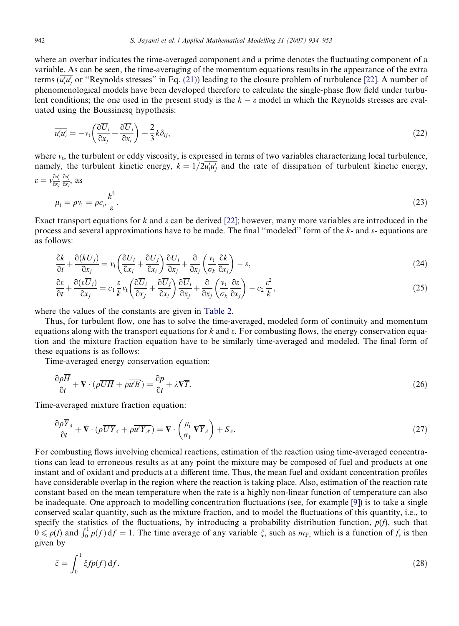<span id="page-8-0"></span>where an overbar indicates the time-averaged component and a prime denotes the fluctuating component of a variable. As can be seen, the time-averaging of the momentum equations results in the appearance of the extra terms  $(u'_i u'_j$  or "Reynolds stresses" in Eq. [\(21\)\)](#page-7-0) leading to the closure problem of turbulence [\[22\]](#page-19-0). A number of phenomenological models have been developed therefore to calculate the single-phase flow field under turbulent conditions; the one used in the present study is the  $k - \varepsilon$  model in which the Reynolds stresses are evaluated using the Boussinesq hypothesis:

$$
\overline{u'_i u'_i} = -v_t \left( \frac{\partial \overline{U}_i}{\partial x_j} + \frac{\partial \overline{U}_j}{\partial x_i} \right) + \frac{2}{3} k \delta_{ij},\tag{22}
$$

where  $v_t$ , the turbulent or eddy viscosity, is expressed in terms of two variables characterizing local turbulence, namely, the turbulent kinetic energy,  $k = 1/2u_i'u_j'$  and the rate of dissipation of turbulent kinetic energy,  $\varepsilon = \nu \frac{\partial u_i'}{\partial x_j}$  $\frac{\partial u'_i}{\partial x_j}$ , as

$$
\mu_{t} = \rho v_{t} = \rho c_{\mu} \frac{k^{2}}{\varepsilon}.
$$
\n(23)

Exact transport equations for k and  $\varepsilon$  can be derived [\[22\]](#page-19-0); however, many more variables are introduced in the process and several approximations have to be made. The final "modeled" form of the  $k$ - and  $\varepsilon$ - equations are as follows:

$$
\frac{\partial k}{\partial t} + \frac{\partial (k\overline{U}_j)}{\partial x_j} = v_t \left( \frac{\partial \overline{U}_i}{\partial x_j} + \frac{\partial \overline{U}_j}{\partial x_i} \right) \frac{\partial \overline{U}_i}{\partial x_j} + \frac{\partial}{\partial x_j} \left( \frac{v_t}{\sigma_k} \frac{\partial k}{\partial x_j} \right) - \varepsilon,
$$
\n(24)

$$
\frac{\partial \varepsilon}{\partial t} + \frac{\partial (\varepsilon \overline{U}_j)}{\partial x_j} = c_1 \frac{\varepsilon}{k} v_t \left( \frac{\partial \overline{U}_i}{\partial x_j} + \frac{\partial \overline{U}_j}{\partial x_i} \right) \frac{\partial \overline{U}_i}{\partial x_j} + \frac{\partial}{\partial x_j} \left( \frac{v_t}{\sigma_k} \frac{\partial \varepsilon}{\partial x_j} \right) - c_2 \frac{\varepsilon^2}{k},\tag{25}
$$

where the values of the constants are given in [Table 2.](#page-6-0)

Thus, for turbulent flow, one has to solve the time-averaged, modeled form of continuity and momentum equations along with the transport equations for k and  $\varepsilon$ . For combusting flows, the energy conservation equation and the mixture fraction equation have to be similarly time-averaged and modeled. The final form of these equations is as follows:

Time-averaged energy conservation equation:

$$
\frac{\partial \rho \overline{H}}{\partial t} + \nabla \cdot (\rho \overline{U} \overline{H} + \rho \overline{u'h'}) = \frac{\partial p}{\partial t} + \lambda \nabla \overline{T}.
$$
\n(26)

Time-averaged mixture fraction equation:

$$
\frac{\partial \rho \overline{Y}_A}{\partial t} + \mathbf{\nabla} \cdot (\rho \overline{U} \overline{Y}_A + \rho \overline{u' Y_{A'}}) = \mathbf{\nabla} \cdot \left( \frac{\mu_t}{\sigma_Y} \mathbf{\nabla} \overline{Y}_A \right) + \overline{S}_A.
$$
\n(27)

For combusting flows involving chemical reactions, estimation of the reaction using time-averaged concentrations can lead to erroneous results as at any point the mixture may be composed of fuel and products at one instant and of oxidant and products at a different time. Thus, the mean fuel and oxidant concentration profiles have considerable overlap in the region where the reaction is taking place. Also, estimation of the reaction rate constant based on the mean temperature when the rate is a highly non-linear function of temperature can also be inadequate. One approach to modelling concentration fluctuations (see, for example [\[9\]](#page-18-0)) is to take a single conserved scalar quantity, such as the mixture fraction, and to model the fluctuations of this quantity, i.e., to specify the statistics of the fluctuations, by introducing a probability distribution function,  $p(f)$ , such that  $0 \leqslant p(f)$  and  $\int_0^1 p(f) df = 1$ . The time average of any variable  $\zeta$ , such as  $m_F$ , which is a function of f, is then given by

$$
\bar{\xi} = \int_0^1 \xi f p(f) \, \mathrm{d} f. \tag{28}
$$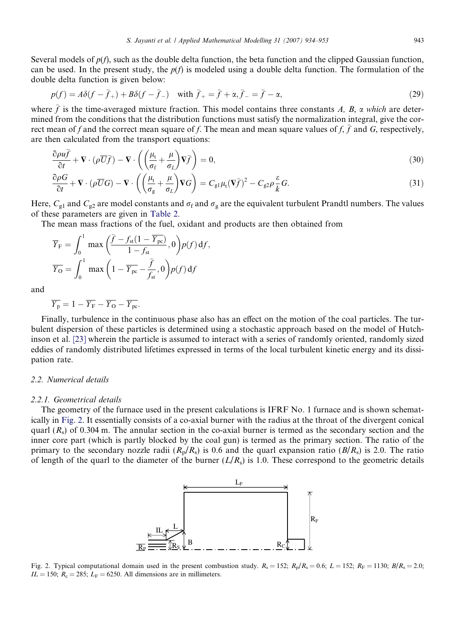<span id="page-9-0"></span>Several models of  $p(f)$ , such as the double delta function, the beta function and the clipped Gaussian function, can be used. In the present study, the  $p(f)$  is modeled using a double delta function. The formulation of the double delta function is given below:

$$
p(f) = A\delta(f - \bar{f}_+) + B\delta(f - \bar{f}_-) \quad \text{with } \bar{f}_+ = \bar{f} + \alpha, \bar{f}_- = \bar{f} - \alpha,
$$
\n(29)

where  $\bar{f}$  is the time-averaged mixture fraction. This model contains three constants A, B,  $\alpha$  which are determined from the conditions that the distribution functions must satisfy the normalization integral, give the correct mean of f and the correct mean square of f. The mean and mean square values of f,  $\bar{f}$  and G, respectively, are then calculated from the transport equations:

$$
\frac{\partial \rho u \bar{f}}{\partial t} + \nabla \cdot (\rho \overline{U} \bar{f}) - \nabla \cdot \left( \left( \frac{\mu_t}{\sigma_f} + \frac{\mu}{\sigma_L} \right) \nabla \bar{f} \right) = 0, \tag{30}
$$

$$
\frac{\partial \rho G}{\partial t} + \mathbf{V} \cdot (\rho \overline{U}G) - \mathbf{V} \cdot \left( \left( \frac{\mu_t}{\sigma_g} + \frac{\mu}{\sigma_L} \right) \mathbf{V}G \right) = C_{\mathbf{g}1} \mu_t (\mathbf{V}\overline{f})^2 - C_{\mathbf{g}2} \rho \frac{\varepsilon}{k} G. \tag{31}
$$

Here,  $C_{\text{gl}}$  and  $C_{\text{g}2}$  are model constants and  $\sigma_{\text{f}}$  and  $\sigma_{\text{g}}$  are the equivalent turbulent Prandtl numbers. The values of these parameters are given in [Table 2.](#page-6-0)

The mean mass fractions of the fuel, oxidant and products are then obtained from

$$
\overline{Y}_{\rm F} = \int_0^1 \max\left(\frac{\overline{f} - f_{\rm st}(1 - \overline{Y_{\rm pc}})}{1 - f_{\rm st}}, 0\right) p(f) \, \mathrm{d}f,
$$

$$
\overline{Y_{\rm O}} = \int_0^1 \max\left(1 - \overline{Y_{\rm pc}} - \frac{\overline{f}}{f_{\rm st}}, 0\right) p(f) \, \mathrm{d}f
$$

and

$$
\overline{Y_{\rm p}}=1-\overline{Y_{\rm F}}-\overline{Y_{\rm O}}-\overline{Y_{\rm pc}}.
$$

Finally, turbulence in the continuous phase also has an effect on the motion of the coal particles. The turbulent dispersion of these particles is determined using a stochastic approach based on the model of Hutchinson et al. [\[23\]](#page-19-0) wherein the particle is assumed to interact with a series of randomly oriented, randomly sized eddies of randomly distributed lifetimes expressed in terms of the local turbulent kinetic energy and its dissipation rate.

## 2.2. Numerical details

#### 2.2.1. Geometrical details

The geometry of the furnace used in the present calculations is IFRF No. 1 furnace and is shown schematically in Fig. 2. It essentially consists of a co-axial burner with the radius at the throat of the divergent conical quarl  $(R_s)$  of 0.304 m. The annular section in the co-axial burner is termed as the secondary section and the inner core part (which is partly blocked by the coal gun) is termed as the primary section. The ratio of the primary to the secondary nozzle radii  $(R_p/R_s)$  is 0.6 and the quarl expansion ratio  $(B/R_s)$  is 2.0. The ratio of length of the quarl to the diameter of the burner  $(L/R<sub>s</sub>)$  is 1.0. These correspond to the geometric details



Fig. 2. Typical computational domain used in the present combustion study.  $R_s = 152$ ;  $R_p/R_s = 0.6$ ;  $L = 152$ ;  $R_F = 1130$ ;  $B/R_s = 2.0$ ;  $IL = 150$ ;  $R_c = 285$ ;  $L_F = 6250$ . All dimensions are in millimeters.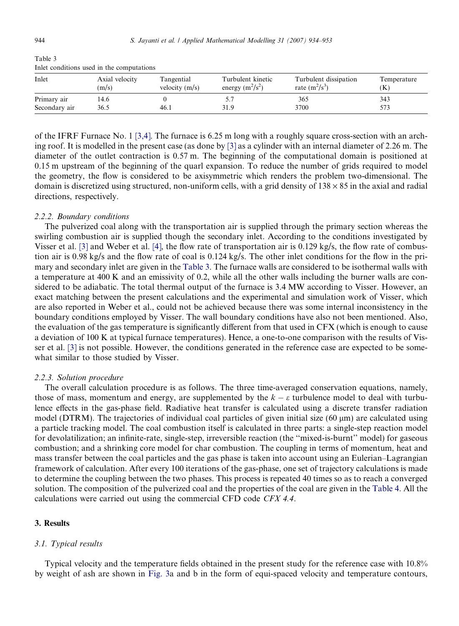| Inlet         | Axial velocity<br>(m/s) | Tangential<br>velocity $(m/s)$ | Turbulent kinetic<br>energy $(m^2/s^2)$ | Turbulent dissipation<br>rate $(m^2/s^3)$ | Temperature<br>'K |
|---------------|-------------------------|--------------------------------|-----------------------------------------|-------------------------------------------|-------------------|
| Primary air   | .4.6                    |                                |                                         | 365                                       | 343               |
| Secondary air | 36.5                    | 46.1                           | 31.9                                    | 3700                                      | 573               |

Table 3 Inlet conditions used in the computations

of the IFRF Furnace No. 1 [\[3,4\]](#page-18-0). The furnace is 6.25 m long with a roughly square cross-section with an arching roof. It is modelled in the present case (as done by [\[3\]](#page-18-0) as a cylinder with an internal diameter of 2.26 m. The diameter of the outlet contraction is 0.57 m. The beginning of the computational domain is positioned at 0.15 m upstream of the beginning of the quarl expansion. To reduce the number of grids required to model the geometry, the flow is considered to be axisymmetric which renders the problem two-dimensional. The domain is discretized using structured, non-uniform cells, with a grid density of  $138 \times 85$  in the axial and radial directions, respectively.

#### 2.2.2. Boundary conditions

The pulverized coal along with the transportation air is supplied through the primary section whereas the swirling combustion air is supplied though the secondary inlet. According to the conditions investigated by Visser et al. [\[3\]](#page-18-0) and Weber et al. [\[4\]](#page-18-0), the flow rate of transportation air is  $0.129 \text{ kg/s}$ , the flow rate of combustion air is 0.98 kg/s and the flow rate of coal is 0.124 kg/s. The other inlet conditions for the flow in the primary and secondary inlet are given in the Table 3. The furnace walls are considered to be isothermal walls with a temperature at 400 K and an emissivity of 0.2, while all the other walls including the burner walls are considered to be adiabatic. The total thermal output of the furnace is 3.4 MW according to Visser. However, an exact matching between the present calculations and the experimental and simulation work of Visser, which are also reported in Weber et al., could not be achieved because there was some internal inconsistency in the boundary conditions employed by Visser. The wall boundary conditions have also not been mentioned. Also, the evaluation of the gas temperature is significantly different from that used in CFX (which is enough to cause a deviation of 100 K at typical furnace temperatures). Hence, a one-to-one comparison with the results of Visser et al. [\[3\]](#page-18-0) is not possible. However, the conditions generated in the reference case are expected to be somewhat similar to those studied by Visser.

# 2.2.3. Solution procedure

The overall calculation procedure is as follows. The three time-averaged conservation equations, namely, those of mass, momentum and energy, are supplemented by the  $k - \varepsilon$  turbulence model to deal with turbulence effects in the gas-phase field. Radiative heat transfer is calculated using a discrete transfer radiation model (DTRM). The trajectories of individual coal particles of given initial size  $(60 \,\mu m)$  are calculated using a particle tracking model. The coal combustion itself is calculated in three parts: a single-step reaction model for devolatilization; an infinite-rate, single-step, irreversible reaction (the ''mixed-is-burnt'' model) for gaseous combustion; and a shrinking core model for char combustion. The coupling in terms of momentum, heat and mass transfer between the coal particles and the gas phase is taken into account using an Eulerian–Lagrangian framework of calculation. After every 100 iterations of the gas-phase, one set of trajectory calculations is made to determine the coupling between the two phases. This process is repeated 40 times so as to reach a converged solution. The composition of the pulverized coal and the properties of the coal are given in the [Table 4](#page-11-0). All the calculations were carried out using the commercial CFD code CFX 4.4.

## 3. Results

#### 3.1. Typical results

Typical velocity and the temperature fields obtained in the present study for the reference case with 10.8% by weight of ash are shown in [Fig. 3](#page-11-0)a and b in the form of equi-spaced velocity and temperature contours,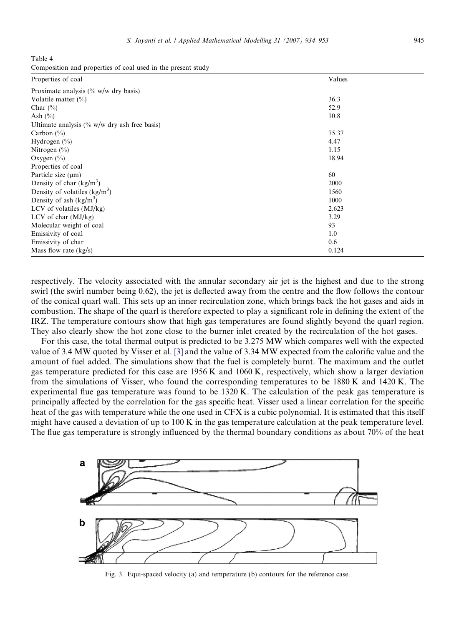<span id="page-11-0"></span>Table 4 Composition and properties of coal used in the present study

| Properties of coal                                      | Values |
|---------------------------------------------------------|--------|
| Proximate analysis $\frac{0}{0}$ w/w dry basis)         |        |
| Volatile matter $(\% )$                                 | 36.3   |
| Char $(\% )$                                            | 52.9   |
| Ash $(\% )$                                             | 10.8   |
| Ultimate analysis $\frac{0}{0}$ w/w dry ash free basis) |        |
| Carbon $(\% )$                                          | 75.37  |
| Hydrogen $(\% )$                                        | 4.47   |
| Nitrogen $(\% )$                                        | 1.15   |
| Oxygen $(\% )$                                          | 18.94  |
| Properties of coal                                      |        |
| Particle size $(\mu m)$                                 | 60     |
| Density of char $(kg/m3)$                               | 2000   |
| Density of volatiles $(kg/m3)$                          | 1560   |
| Density of ash $(kg/m^3)$                               | 1000   |
| LCV of volatiles $(MJ/kg)$                              | 2.623  |
| LCV of char $(MJ/kg)$                                   | 3.29   |
| Molecular weight of coal                                | 93     |
| Emissivity of coal                                      | 1.0    |
| Emissivity of char                                      | 0.6    |
| Mass flow rate $(kg/s)$                                 | 0.124  |

respectively. The velocity associated with the annular secondary air jet is the highest and due to the strong swirl (the swirl number being 0.62), the jet is deflected away from the centre and the flow follows the contour of the conical quarl wall. This sets up an inner recirculation zone, which brings back the hot gases and aids in combustion. The shape of the quarl is therefore expected to play a significant role in defining the extent of the IRZ. The temperature contours show that high gas temperatures are found slightly beyond the quarl region. They also clearly show the hot zone close to the burner inlet created by the recirculation of the hot gases.

For this case, the total thermal output is predicted to be 3.275 MW which compares well with the expected value of 3.4 MW quoted by Visser et al. [\[3\]](#page-18-0) and the value of 3.34 MW expected from the calorific value and the amount of fuel added. The simulations show that the fuel is completely burnt. The maximum and the outlet gas temperature predicted for this case are 1956 K and 1060 K, respectively, which show a larger deviation from the simulations of Visser, who found the corresponding temperatures to be 1880 K and 1420 K. The experimental flue gas temperature was found to be 1320 K. The calculation of the peak gas temperature is principally affected by the correlation for the gas specific heat. Visser used a linear correlation for the specific heat of the gas with temperature while the one used in CFX is a cubic polynomial. It is estimated that this itself might have caused a deviation of up to 100 K in the gas temperature calculation at the peak temperature level. The flue gas temperature is strongly influenced by the thermal boundary conditions as about 70% of the heat



Fig. 3. Equi-spaced velocity (a) and temperature (b) contours for the reference case.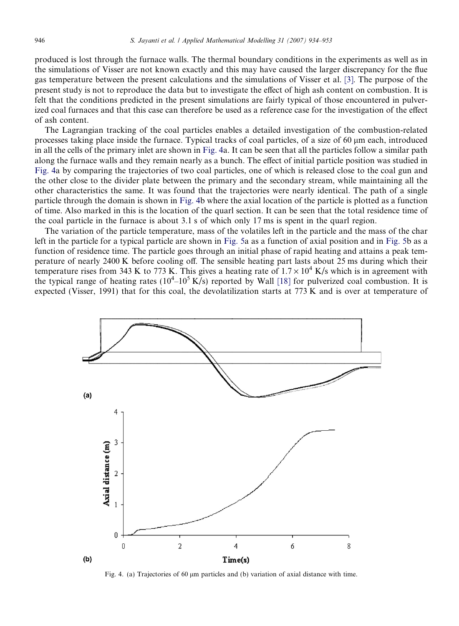produced is lost through the furnace walls. The thermal boundary conditions in the experiments as well as in the simulations of Visser are not known exactly and this may have caused the larger discrepancy for the flue gas temperature between the present calculations and the simulations of Visser et al. [\[3\]](#page-18-0). The purpose of the present study is not to reproduce the data but to investigate the effect of high ash content on combustion. It is felt that the conditions predicted in the present simulations are fairly typical of those encountered in pulverized coal furnaces and that this case can therefore be used as a reference case for the investigation of the effect of ash content.

The Lagrangian tracking of the coal particles enables a detailed investigation of the combustion-related processes taking place inside the furnace. Typical tracks of coal particles, of a size of  $60 \mu m$  each, introduced in all the cells of the primary inlet are shown in Fig. 4a. It can be seen that all the particles follow a similar path along the furnace walls and they remain nearly as a bunch. The effect of initial particle position was studied in Fig. 4a by comparing the trajectories of two coal particles, one of which is released close to the coal gun and the other close to the divider plate between the primary and the secondary stream, while maintaining all the other characteristics the same. It was found that the trajectories were nearly identical. The path of a single particle through the domain is shown in Fig. 4b where the axial location of the particle is plotted as a function of time. Also marked in this is the location of the quarl section. It can be seen that the total residence time of the coal particle in the furnace is about 3.1 s of which only 17 ms is spent in the quarl region.

The variation of the particle temperature, mass of the volatiles left in the particle and the mass of the char left in the particle for a typical particle are shown in [Fig. 5](#page-13-0)a as a function of axial position and in [Fig. 5b](#page-13-0) as a function of residence time. The particle goes through an initial phase of rapid heating and attains a peak temperature of nearly 2400 K before cooling off. The sensible heating part lasts about 25 ms during which their temperature rises from 343 K to 773 K. This gives a heating rate of  $1.7 \times 10^4$  K/s which is in agreement with the typical range of heating rates  $(10^4 - 10^5 \text{ K/s})$  reported by Wall [\[18\]](#page-19-0) for pulverized coal combustion. It is expected (Visser, 1991) that for this coal, the devolatilization starts at 773 K and is over at temperature of



Fig. 4. (a) Trajectories of 60 µm particles and (b) variation of axial distance with time.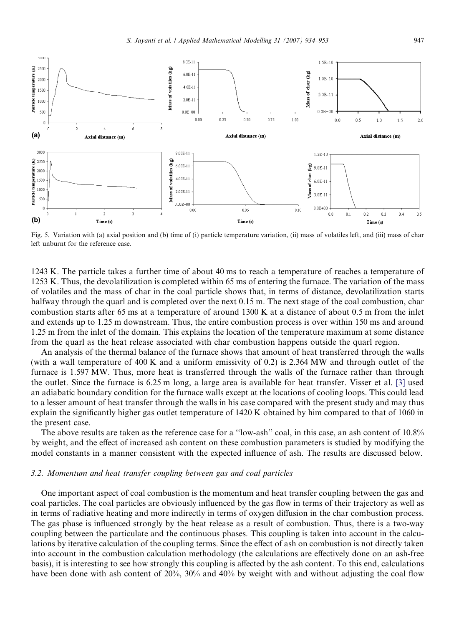<span id="page-13-0"></span>

Fig. 5. Variation with (a) axial position and (b) time of (i) particle temperature variation, (ii) mass of volatiles left, and (iii) mass of char left unburnt for the reference case.

1243 K. The particle takes a further time of about 40 ms to reach a temperature of reaches a temperature of 1253 K. Thus, the devolatilization is completed within 65 ms of entering the furnace. The variation of the mass of volatiles and the mass of char in the coal particle shows that, in terms of distance, devolatilization starts halfway through the quarl and is completed over the next 0.15 m. The next stage of the coal combustion, char combustion starts after 65 ms at a temperature of around 1300 K at a distance of about 0.5 m from the inlet and extends up to 1.25 m downstream. Thus, the entire combustion process is over within 150 ms and around 1.25 m from the inlet of the domain. This explains the location of the temperature maximum at some distance from the quarl as the heat release associated with char combustion happens outside the quarl region.

An analysis of the thermal balance of the furnace shows that amount of heat transferred through the walls (with a wall temperature of 400 K and a uniform emissivity of 0.2) is 2.364 MW and through outlet of the furnace is 1.597 MW. Thus, more heat is transferred through the walls of the furnace rather than through the outlet. Since the furnace is 6.25 m long, a large area is available for heat transfer. Visser et al. [\[3\]](#page-18-0) used an adiabatic boundary condition for the furnace walls except at the locations of cooling loops. This could lead to a lesser amount of heat transfer through the walls in his case compared with the present study and may thus explain the significantly higher gas outlet temperature of 1420 K obtained by him compared to that of 1060 in the present case.

The above results are taken as the reference case for a ''low-ash'' coal, in this case, an ash content of 10.8% by weight, and the effect of increased ash content on these combustion parameters is studied by modifying the model constants in a manner consistent with the expected influence of ash. The results are discussed below.

#### 3.2. Momentum and heat transfer coupling between gas and coal particles

One important aspect of coal combustion is the momentum and heat transfer coupling between the gas and coal particles. The coal particles are obviously influenced by the gas flow in terms of their trajectory as well as in terms of radiative heating and more indirectly in terms of oxygen diffusion in the char combustion process. The gas phase is influenced strongly by the heat release as a result of combustion. Thus, there is a two-way coupling between the particulate and the continuous phases. This coupling is taken into account in the calculations by iterative calculation of the coupling terms. Since the effect of ash on combustion is not directly taken into account in the combustion calculation methodology (the calculations are effectively done on an ash-free basis), it is interesting to see how strongly this coupling is affected by the ash content. To this end, calculations have been done with ash content of 20%, 30% and 40% by weight with and without adjusting the coal flow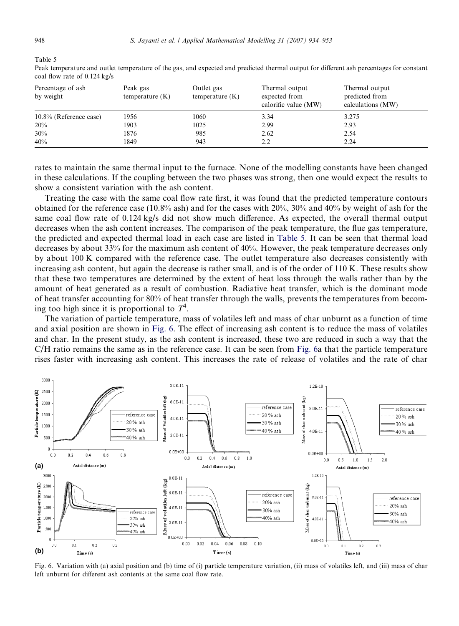Table 5

| Percentage of ash<br>by weight | Peak gas<br>temperature $(K)$ | Outlet gas<br>temperature $(K)$ | Thermal output<br>expected from<br>calorific value (MW) | Thermal output<br>predicted from<br>calculations (MW) |
|--------------------------------|-------------------------------|---------------------------------|---------------------------------------------------------|-------------------------------------------------------|
| 10.8% (Reference case)         | 1956                          | 1060                            | 3.34                                                    | 3.275                                                 |
| 20%                            | 1903                          | 1025                            | 2.99                                                    | 2.93                                                  |
| 30%                            | 1876                          | 985                             | 2.62                                                    | 2.54                                                  |
| 40%                            | 1849                          | 943                             | 2.2                                                     | 2.24                                                  |

Peak temperature and outlet temperature of the gas, and expected and predicted thermal output for different ash percentages for constant coal flow rate of 0.124 kg/s

rates to maintain the same thermal input to the furnace. None of the modelling constants have been changed in these calculations. If the coupling between the two phases was strong, then one would expect the results to show a consistent variation with the ash content.

Treating the case with the same coal flow rate first, it was found that the predicted temperature contours obtained for the reference case (10.8% ash) and for the cases with 20%, 30% and 40% by weight of ash for the same coal flow rate of 0.124 kg/s did not show much difference. As expected, the overall thermal output decreases when the ash content increases. The comparison of the peak temperature, the flue gas temperature, the predicted and expected thermal load in each case are listed in Table 5. It can be seen that thermal load decreases by about 33% for the maximum ash content of 40%. However, the peak temperature decreases only by about 100 K compared with the reference case. The outlet temperature also decreases consistently with increasing ash content, but again the decrease is rather small, and is of the order of 110 K. These results show that these two temperatures are determined by the extent of heat loss through the walls rather than by the amount of heat generated as a result of combustion. Radiative heat transfer, which is the dominant mode of heat transfer accounting for 80% of heat transfer through the walls, prevents the temperatures from becoming too high since it is proportional to  $T^4$ .

The variation of particle temperature, mass of volatiles left and mass of char unburnt as a function of time and axial position are shown in Fig. 6. The effect of increasing ash content is to reduce the mass of volatiles and char. In the present study, as the ash content is increased, these two are reduced in such a way that the C/H ratio remains the same as in the reference case. It can be seen from Fig. 6a that the particle temperature rises faster with increasing ash content. This increases the rate of release of volatiles and the rate of char



Fig. 6. Variation with (a) axial position and (b) time of (i) particle temperature variation, (ii) mass of volatiles left, and (iii) mass of char left unburnt for different ash contents at the same coal flow rate.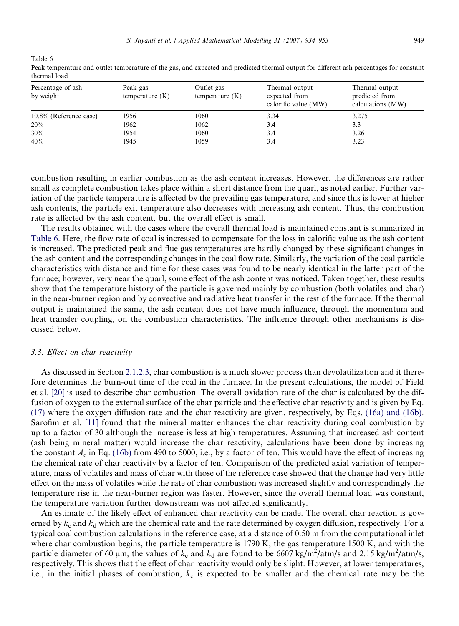| Percentage of ash<br>by weight | Peak gas<br>temperature $(K)$ | Outlet gas<br>temperature $(K)$ | Thermal output<br>expected from<br>calorific value (MW) | Thermal output<br>predicted from<br>calculations (MW) |
|--------------------------------|-------------------------------|---------------------------------|---------------------------------------------------------|-------------------------------------------------------|
| 10.8% (Reference case)         | 1956                          | 1060                            | 3.34                                                    | 3.275                                                 |
| 20%                            | 1962                          | 1062                            | 3.4                                                     | 3.3                                                   |
| 30%                            | 1954                          | 1060                            | 3.4                                                     | 3.26                                                  |
| 40%                            | 1945                          | 1059                            | 3.4                                                     | 3.23                                                  |

Peak temperature and outlet temperature of the gas, and expected and predicted thermal output for different ash percentages for constant thermal load

combustion resulting in earlier combustion as the ash content increases. However, the differences are rather small as complete combustion takes place within a short distance from the quarl, as noted earlier. Further variation of the particle temperature is affected by the prevailing gas temperature, and since this is lower at higher ash contents, the particle exit temperature also decreases with increasing ash content. Thus, the combustion rate is affected by the ash content, but the overall effect is small.

The results obtained with the cases where the overall thermal load is maintained constant is summarized in Table 6. Here, the flow rate of coal is increased to compensate for the loss in calorific value as the ash content is increased. The predicted peak and flue gas temperatures are hardly changed by these significant changes in the ash content and the corresponding changes in the coal flow rate. Similarly, the variation of the coal particle characteristics with distance and time for these cases was found to be nearly identical in the latter part of the furnace; however, very near the quarl, some effect of the ash content was noticed. Taken together, these results show that the temperature history of the particle is governed mainly by combustion (both volatiles and char) in the near-burner region and by convective and radiative heat transfer in the rest of the furnace. If the thermal output is maintained the same, the ash content does not have much influence, through the momentum and heat transfer coupling, on the combustion characteristics. The influence through other mechanisms is discussed below.

## 3.3. Effect on char reactivity

Table 6

As discussed in Section [2.1.2.3,](#page-6-0) char combustion is a much slower process than devolatilization and it therefore determines the burn-out time of the coal in the furnace. In the present calculations, the model of Field et al. [\[20\]](#page-19-0) is used to describe char combustion. The overall oxidation rate of the char is calculated by the diffusion of oxygen to the external surface of the char particle and the effective char reactivity and is given by Eq. [\(17\)](#page-6-0) where the oxygen diffusion rate and the char reactivity are given, respectively, by Eqs. [\(16a\) and \(16b\)](#page-6-0). Sarofim et al. [\[11\]](#page-18-0) found that the mineral matter enhances the char reactivity during coal combustion by up to a factor of 30 although the increase is less at high temperatures. Assuming that increased ash content (ash being mineral matter) would increase the char reactivity, calculations have been done by increasing the constant  $A_c$  in Eq. [\(16b\)](#page-6-0) from 490 to 5000, i.e., by a factor of ten. This would have the effect of increasing the chemical rate of char reactivity by a factor of ten. Comparison of the predicted axial variation of temperature, mass of volatiles and mass of char with those of the reference case showed that the change had very little effect on the mass of volatiles while the rate of char combustion was increased slightly and correspondingly the temperature rise in the near-burner region was faster. However, since the overall thermal load was constant, the temperature variation further downstream was not affected significantly.

An estimate of the likely effect of enhanced char reactivity can be made. The overall char reaction is governed by  $k_c$  and  $k_d$  which are the chemical rate and the rate determined by oxygen diffusion, respectively. For a typical coal combustion calculations in the reference case, at a distance of 0.50 m from the computational inlet where char combustion begins, the particle temperature is 1790 K, the gas temperature 1500 K, and with the particle diameter of 60  $\mu$ m, the values of  $k_c$  and  $k_d$  are found to be 6607 kg/m<sup>2</sup>/atm/s and 2.15 kg/m<sup>2</sup>/atm/s, respectively. This shows that the effect of char reactivity would only be slight. However, at lower temperatures, i.e., in the initial phases of combustion,  $k<sub>c</sub>$  is expected to be smaller and the chemical rate may be the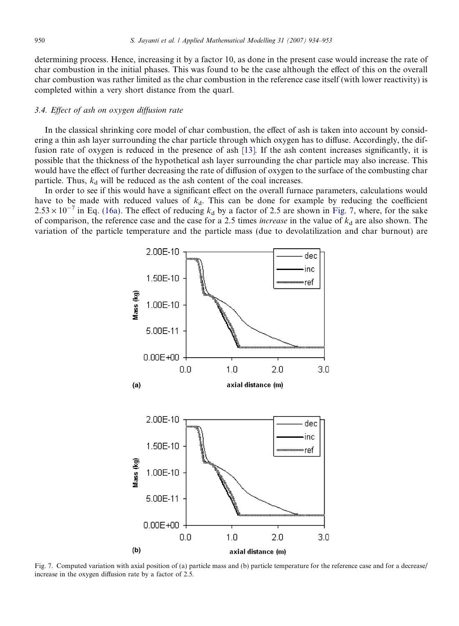<span id="page-16-0"></span>determining process. Hence, increasing it by a factor 10, as done in the present case would increase the rate of char combustion in the initial phases. This was found to be the case although the effect of this on the overall char combustion was rather limited as the char combustion in the reference case itself (with lower reactivity) is completed within a very short distance from the quarl.

## 3.4. Effect of ash on oxygen diffusion rate

In the classical shrinking core model of char combustion, the effect of ash is taken into account by considering a thin ash layer surrounding the char particle through which oxygen has to diffuse. Accordingly, the diffusion rate of oxygen is reduced in the presence of ash [\[13\].](#page-18-0) If the ash content increases significantly, it is possible that the thickness of the hypothetical ash layer surrounding the char particle may also increase. This would have the effect of further decreasing the rate of diffusion of oxygen to the surface of the combusting char particle. Thus,  $k_d$  will be reduced as the ash content of the coal increases.

In order to see if this would have a significant effect on the overall furnace parameters, calculations would have to be made with reduced values of  $k_d$ . This can be done for example by reducing the coefficient  $2.53 \times 10^{-7}$  in Eq. [\(16a\).](#page-6-0) The effect of reducing  $k_d$  by a factor of 2.5 are shown in Fig. 7, where, for the sake of comparison, the reference case and the case for a 2.5 times *increase* in the value of  $k_d$  are also shown. The variation of the particle temperature and the particle mass (due to devolatilization and char burnout) are



Fig. 7. Computed variation with axial position of (a) particle mass and (b) particle temperature for the reference case and for a decrease/ increase in the oxygen diffusion rate by a factor of 2.5.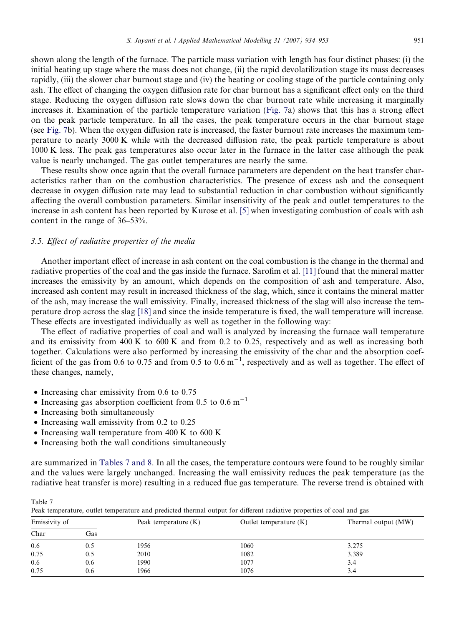shown along the length of the furnace. The particle mass variation with length has four distinct phases: (i) the initial heating up stage where the mass does not change, (ii) the rapid devolatilization stage its mass decreases rapidly, (iii) the slower char burnout stage and (iv) the heating or cooling stage of the particle containing only ash. The effect of changing the oxygen diffusion rate for char burnout has a significant effect only on the third stage. Reducing the oxygen diffusion rate slows down the char burnout rate while increasing it marginally increases it. Examination of the particle temperature variation ([Fig. 7a](#page-16-0)) shows that this has a strong effect on the peak particle temperature. In all the cases, the peak temperature occurs in the char burnout stage (see [Fig. 7](#page-16-0)b). When the oxygen diffusion rate is increased, the faster burnout rate increases the maximum temperature to nearly 3000 K while with the decreased diffusion rate, the peak particle temperature is about 1000 K less. The peak gas temperatures also occur later in the furnace in the latter case although the peak value is nearly unchanged. The gas outlet temperatures are nearly the same.

These results show once again that the overall furnace parameters are dependent on the heat transfer characteristics rather than on the combustion characteristics. The presence of excess ash and the consequent decrease in oxygen diffusion rate may lead to substantial reduction in char combustion without significantly affecting the overall combustion parameters. Similar insensitivity of the peak and outlet temperatures to the increase in ash content has been reported by Kurose et al. [\[5\]](#page-18-0) when investigating combustion of coals with ash content in the range of 36–53%.

# 3.5. Effect of radiative properties of the media

Another important effect of increase in ash content on the coal combustion is the change in the thermal and radiative properties of the coal and the gas inside the furnace. Sarofim et al. [\[11\]](#page-18-0) found that the mineral matter increases the emissivity by an amount, which depends on the composition of ash and temperature. Also, increased ash content may result in increased thickness of the slag, which, since it contains the mineral matter of the ash, may increase the wall emissivity. Finally, increased thickness of the slag will also increase the temperature drop across the slag [\[18\]](#page-19-0) and since the inside temperature is fixed, the wall temperature will increase. These effects are investigated individually as well as together in the following way:

The effect of radiative properties of coal and wall is analyzed by increasing the furnace wall temperature and its emissivity from 400 K to 600 K and from 0.2 to 0.25, respectively and as well as increasing both together. Calculations were also performed by increasing the emissivity of the char and the absorption coefficient of the gas from 0.6 to 0.75 and from 0.5 to 0.6  $m^{-1}$ , respectively and as well as together. The effect of these changes, namely,

- Increasing char emissivity from 0.6 to 0.75
- Increasing gas absorption coefficient from 0.5 to  $0.6 \text{ m}^{-1}$
- Increasing both simultaneously
- Increasing wall emissivity from 0.2 to 0.25
- Increasing wall temperature from 400 K to 600 K
- Increasing both the wall conditions simultaneously

are summarized in Tables 7 and 8. In all the cases, the temperature contours were found to be roughly similar and the values were largely unchanged. Increasing the wall emissivity reduces the peak temperature (as the radiative heat transfer is more) resulting in a reduced flue gas temperature. The reverse trend is obtained with

Table 7

Peak temperature, outlet temperature and predicted thermal output for different radiative properties of coal and gas

| Emissivity of |     | Peak temperature $(K)$ | Outlet temperature $(K)$ |       |
|---------------|-----|------------------------|--------------------------|-------|
| Char          | Gas |                        |                          |       |
| 0.6           | 0.5 | 1956                   | 1060                     | 3.275 |
| 0.75          | 0.5 | 2010                   | 1082                     | 3.389 |
| 0.6           | 0.6 | 1990                   | 1077                     | 3.4   |
| 0.75          | 0.6 | 1966                   | 1076                     | 3.4   |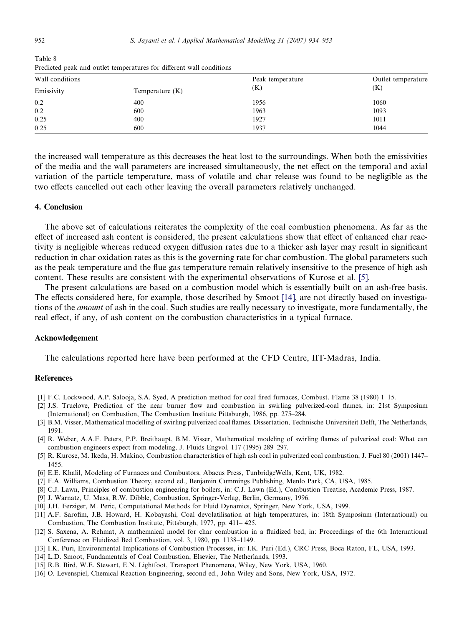<span id="page-18-0"></span>

|             | ×            | ٧<br>I |
|-------------|--------------|--------|
| ٦<br>I<br>v | ۰,<br>v<br>٠ | ٠      |
|             |              |        |

| Wall conditions |                   | Peak temperature | Outlet temperature |
|-----------------|-------------------|------------------|--------------------|
| Emissivity      | Temperature $(K)$ | $\bf K$          | (K)                |
| 0.2             | 400               | 1956             | 1060               |
| 0.2             | 600               | 1963             | 1093               |
| 0.25            | 400               | 1927             | 1011               |
| 0.25            | 600               | 1937             | 1044               |

Table 8 Predicted peak and outlet temperatures for different wall conditions

the increased wall temperature as this decreases the heat lost to the surroundings. When both the emissivities of the media and the wall parameters are increased simultaneously, the net effect on the temporal and axial variation of the particle temperature, mass of volatile and char release was found to be negligible as the two effects cancelled out each other leaving the overall parameters relatively unchanged.

# 4. Conclusion

The above set of calculations reiterates the complexity of the coal combustion phenomena. As far as the effect of increased ash content is considered, the present calculations show that effect of enhanced char reactivity is negligible whereas reduced oxygen diffusion rates due to a thicker ash layer may result in significant reduction in char oxidation rates as this is the governing rate for char combustion. The global parameters such as the peak temperature and the flue gas temperature remain relatively insensitive to the presence of high ash content. These results are consistent with the experimental observations of Kurose et al. [5].

The present calculations are based on a combustion model which is essentially built on an ash-free basis. The effects considered here, for example, those described by Smoot [14], are not directly based on investigations of the *amount* of ash in the coal. Such studies are really necessary to investigate, more fundamentally, the real effect, if any, of ash content on the combustion characteristics in a typical furnace.

#### Acknowledgement

The calculations reported here have been performed at the CFD Centre, IIT-Madras, India.

## **References**

- [1] F.C. Lockwood, A.P. Salooja, S.A. Syed, A prediction method for coal fired furnaces, Combust. Flame 38 (1980) 1–15.
- [2] J.S. Truelove, Prediction of the near burner flow and combustion in swirling pulverized-coal flames, in: 21st Symposium (International) on Combustion, The Combustion Institute Pittsburgh, 1986, pp. 275–284.
- [3] B.M. Visser, Mathematical modelling of swirling pulverized coal flames. Dissertation, Technische Universiteit Delft, The Netherlands, 1991.
- [4] R. Weber, A.A.F. Peters, P.P. Breithaupt, B.M. Visser, Mathematical modeling of swirling flames of pulverized coal: What can combustion engineers expect from modeling, J. Fluids Engvol. 117 (1995) 289–297.
- [5] R. Kurose, M. Ikeda, H. Makino, Combustion characteristics of high ash coal in pulverized coal combustion, J. Fuel 80 (2001) 1447– 1455.
- [6] E.E. Khalil, Modeling of Furnaces and Combustors, Abacus Press, TunbridgeWells, Kent, UK, 1982.
- [7] F.A. Williams, Combustion Theory, second ed., Benjamin Cummings Publishing, Menlo Park, CA, USA, 1985.
- [8] C.J. Lawn, Principles of combustion engineering for boilers, in: C.J. Lawn (Ed.), Combustion Treatise, Academic Press, 1987.
- [9] J. Warnatz, U. Mass, R.W. Dibble, Combustion, Springer-Verlag, Berlin, Germany, 1996.
- [10] J.H. Ferziger, M. Peric, Computational Methods for Fluid Dynamics, Springer, New York, USA, 1999.
- [11] A.F. Sarofim, J.B. Howard, H. Kobayashi, Coal devolatilisation at high temperatures, in: 18th Symposium (International) on Combustion, The Combustion Institute, Pittsburgh, 1977, pp. 411– 425.
- [12] S. Saxena, A. Rehmat, A mathemaical model for char combustion in a fluidized bed, in: Proceedings of the 6th International Conference on Fluidized Bed Combustion, vol. 3, 1980, pp. 1138–1149.
- [13] I.K. Puri, Environmental Implications of Combustion Processes, in: I.K. Puri (Ed.), CRC Press, Boca Raton, FL, USA, 1993.
- [14] L.D. Smoot, Fundamentals of Coal Combustion, Elsevier, The Netherlands, 1993.
- [15] R.B. Bird, W.E. Stewart, E.N. Lightfoot, Transport Phenomena, Wiley, New York, USA, 1960.
- [16] O. Levenspiel, Chemical Reaction Engineering, second ed., John Wiley and Sons, New York, USA, 1972.